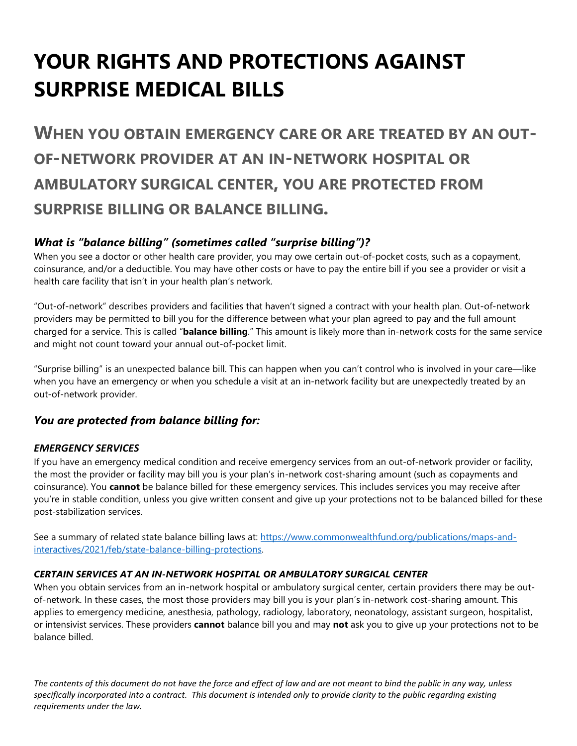# **YOUR RIGHTS AND PROTECTIONS AGAINST SURPRISE MEDICAL BILLS**

**WHEN YOU OBTAIN EMERGENCY CARE OR ARE TREATED BY AN OUT-OF-NETWORK PROVIDER AT AN IN-NETWORK HOSPITAL OR AMBULATORY SURGICAL CENTER, YOU ARE PROTECTED FROM SURPRISE BILLING OR BALANCE BILLING.** 

# *What is "balance billing" (sometimes called "surprise billing")?*

When you see a doctor or other health care provider, you may owe certain out-of-pocket costs, such as a copayment, coinsurance, and/or a deductible. You may have other costs or have to pay the entire bill if you see a provider or visit a health care facility that isn't in your health plan's network.

"Out-of-network" describes providers and facilities that haven't signed a contract with your health plan. Out-of-network providers may be permitted to bill you for the difference between what your plan agreed to pay and the full amount charged for a service. This is called "**balance billing**." This amount is likely more than in-network costs for the same service and might not count toward your annual out-of-pocket limit.

"Surprise billing" is an unexpected balance bill. This can happen when you can't control who is involved in your care—like when you have an emergency or when you schedule a visit at an in-network facility but are unexpectedly treated by an out-of-network provider.

# *You are protected from balance billing for:*

# *EMERGENCY SERVICES*

If you have an emergency medical condition and receive emergency services from an out-of-network provider or facility, the most the provider or facility may bill you is your plan's in-network cost-sharing amount (such as copayments and coinsurance). You **cannot** be balance billed for these emergency services. This includes services you may receive after you're in stable condition, unless you give written consent and give up your protections not to be balanced billed for these post-stabilization services.

See a summary of related state balance billing laws at: [https://www.commonwealthfund.org/publications/maps-and](https://www.commonwealthfund.org/publications/maps-and-interactives/2021/feb/state-balance-billing-protections)[interactives/2021/feb/state-balance-billing-protections.](https://www.commonwealthfund.org/publications/maps-and-interactives/2021/feb/state-balance-billing-protections)

#### *CERTAIN SERVICES AT AN IN-NETWORK HOSPITAL OR AMBULATORY SURGICAL CENTER*

When you obtain services from an in-network hospital or ambulatory surgical center, certain providers there may be outof-network. In these cases, the most those providers may bill you is your plan's in-network cost-sharing amount. This applies to emergency medicine, anesthesia, pathology, radiology, laboratory, neonatology, assistant surgeon, hospitalist, or intensivist services. These providers **cannot** balance bill you and may **not** ask you to give up your protections not to be balance billed.

*The contents of this document do not have the force and effect of law and are not meant to bind the public in any way, unless specifically incorporated into a contract. This document is intended only to provide clarity to the public regarding existing requirements under the law.*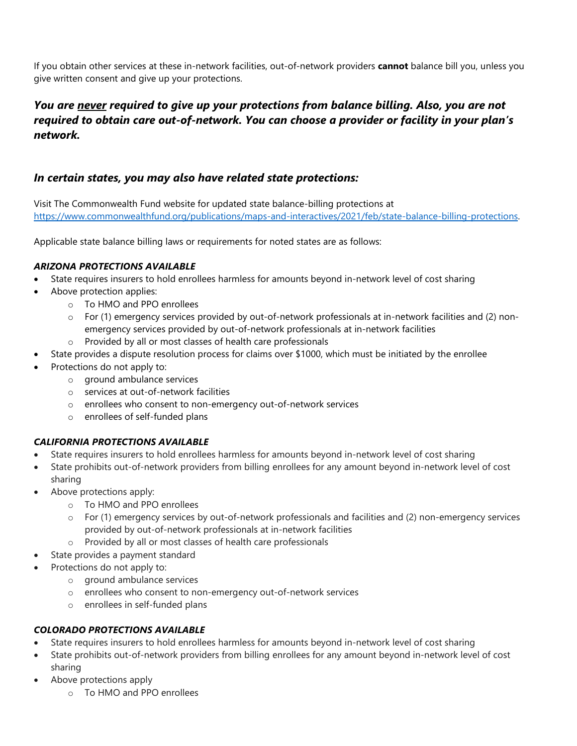If you obtain other services at these in-network facilities, out-of-network providers **cannot** balance bill you, unless you give written consent and give up your protections.

# *You are never required to give up your protections from balance billing. Also, you are not required to obtain care out-of-network. You can choose a provider or facility in your plan's network.*

# *In certain states, you may also have related state protections:*

Visit The Commonwealth Fund website for updated state balance-billing protections at [https://www.commonwealthfund.org/publications/maps-and-interactives/2021/feb/state-balance-billing-protections.](https://www.commonwealthfund.org/publications/maps-and-interactives/2021/feb/state-balance-billing-protections)

Applicable state balance billing laws or requirements for noted states are as follows:

#### *ARIZONA PROTECTIONS AVAILABLE*

- State requires insurers to hold enrollees harmless for amounts beyond in-network level of cost sharing
- Above protection applies:
	- o To HMO and PPO enrollees
	- o For (1) emergency services provided by out-of-network professionals at in-network facilities and (2) nonemergency services provided by out-of-network professionals at in-network facilities
	- o Provided by all or most classes of health care professionals
- State provides a dispute resolution process for claims over \$1000, which must be initiated by the enrollee
- Protections do not apply to:
	- o ground ambulance services
	- o services at out-of-network facilities
	- o enrollees who consent to non-emergency out-of-network services
	- o enrollees of self-funded plans

#### *CALIFORNIA PROTECTIONS AVAILABLE*

- State requires insurers to hold enrollees harmless for amounts beyond in-network level of cost sharing
- State prohibits out-of-network providers from billing enrollees for any amount beyond in-network level of cost sharing
- Above protections apply:
	- o To HMO and PPO enrollees
	- o For (1) emergency services by out-of-network professionals and facilities and (2) non-emergency services provided by out-of-network professionals at in-network facilities
	- o Provided by all or most classes of health care professionals
- State provides a payment standard
- Protections do not apply to:
	- o ground ambulance services
	- o enrollees who consent to non-emergency out-of-network services
	- o enrollees in self-funded plans

#### *COLORADO PROTECTIONS AVAILABLE*

- State requires insurers to hold enrollees harmless for amounts beyond in-network level of cost sharing
- State prohibits out-of-network providers from billing enrollees for any amount beyond in-network level of cost sharing
- Above protections apply
	- o To HMO and PPO enrollees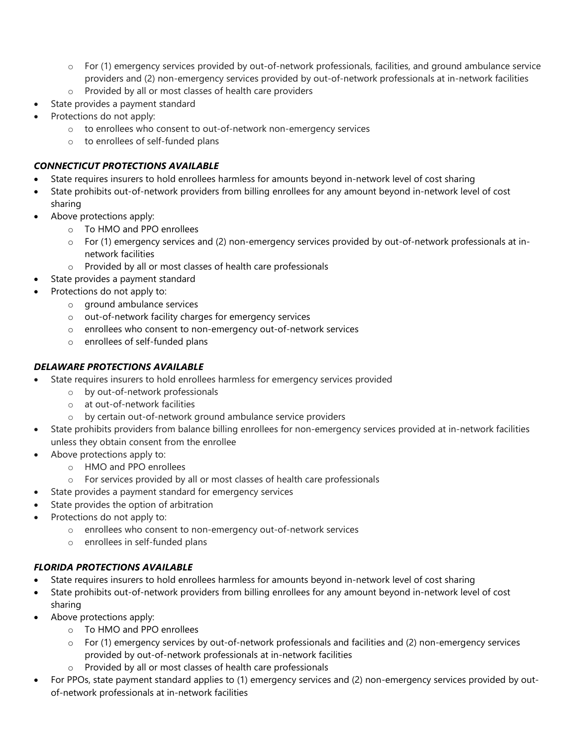- o For (1) emergency services provided by out-of-network professionals, facilities, and ground ambulance service providers and (2) non-emergency services provided by out-of-network professionals at in-network facilities
- o Provided by all or most classes of health care providers
- State provides a payment standard
- Protections do not apply:
	- o to enrollees who consent to out-of-network non-emergency services
	- o to enrollees of self-funded plans

## *CONNECTICUT PROTECTIONS AVAILABLE*

- State requires insurers to hold enrollees harmless for amounts beyond in-network level of cost sharing
- State prohibits out-of-network providers from billing enrollees for any amount beyond in-network level of cost sharing
- Above protections apply:
	- o To HMO and PPO enrollees
	- o For (1) emergency services and (2) non-emergency services provided by out-of-network professionals at innetwork facilities
	- o Provided by all or most classes of health care professionals
	- State provides a payment standard
- Protections do not apply to:
	- o ground ambulance services
	- o out-of-network facility charges for emergency services
	- o enrollees who consent to non-emergency out-of-network services
	- o enrollees of self-funded plans

## *DELAWARE PROTECTIONS AVAILABLE*

- State requires insurers to hold enrollees harmless for emergency services provided
	- o by out-of-network professionals
	- o at out-of-network facilities
	- o by certain out-of-network ground ambulance service providers
- State prohibits providers from balance billing enrollees for non-emergency services provided at in-network facilities unless they obtain consent from the enrollee
- Above protections apply to:
	- o HMO and PPO enrollees
	- o For services provided by all or most classes of health care professionals
	- State provides a payment standard for emergency services
- State provides the option of arbitration
- Protections do not apply to:
	- o enrollees who consent to non-emergency out-of-network services
	- o enrollees in self-funded plans

# *FLORIDA PROTECTIONS AVAILABLE*

- State requires insurers to hold enrollees harmless for amounts beyond in-network level of cost sharing
- State prohibits out-of-network providers from billing enrollees for any amount beyond in-network level of cost sharing
- Above protections apply:
	- o To HMO and PPO enrollees
	- o For (1) emergency services by out-of-network professionals and facilities and (2) non-emergency services provided by out-of-network professionals at in-network facilities
	- o Provided by all or most classes of health care professionals
- For PPOs, state payment standard applies to (1) emergency services and (2) non-emergency services provided by outof-network professionals at in-network facilities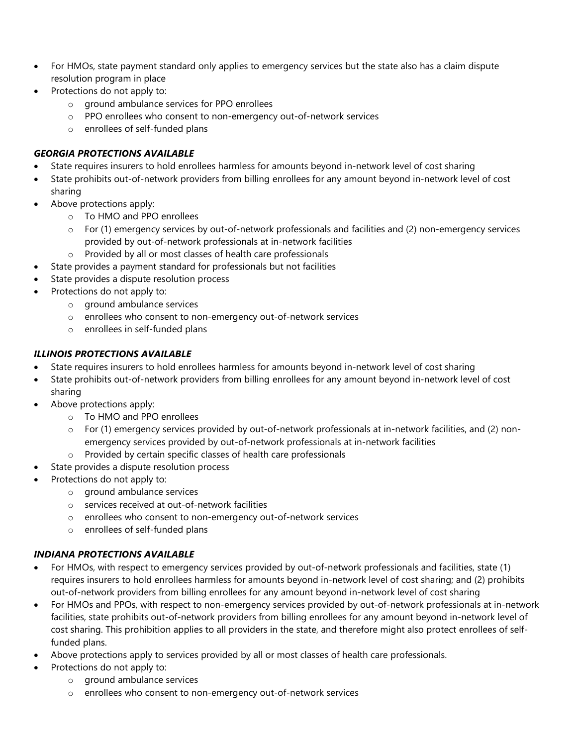- For HMOs, state payment standard only applies to emergency services but the state also has a claim dispute resolution program in place
- Protections do not apply to:
	- o ground ambulance services for PPO enrollees
	- o PPO enrollees who consent to non-emergency out-of-network services
	- o enrollees of self-funded plans

#### *GEORGIA PROTECTIONS AVAILABLE*

- State requires insurers to hold enrollees harmless for amounts beyond in-network level of cost sharing
- State prohibits out-of-network providers from billing enrollees for any amount beyond in-network level of cost sharing
- Above protections apply:
	- o To HMO and PPO enrollees
	- o For (1) emergency services by out-of-network professionals and facilities and (2) non-emergency services provided by out-of-network professionals at in-network facilities
	- o Provided by all or most classes of health care professionals
- State provides a payment standard for professionals but not facilities
- State provides a dispute resolution process
- Protections do not apply to:
	- o ground ambulance services
	- o enrollees who consent to non-emergency out-of-network services
	- o enrollees in self-funded plans

## *ILLINOIS PROTECTIONS AVAILABLE*

- State requires insurers to hold enrollees harmless for amounts beyond in-network level of cost sharing
- State prohibits out-of-network providers from billing enrollees for any amount beyond in-network level of cost sharing
- Above protections apply:
	- o To HMO and PPO enrollees
	- o For (1) emergency services provided by out-of-network professionals at in-network facilities, and (2) nonemergency services provided by out-of-network professionals at in-network facilities
	- o Provided by certain specific classes of health care professionals
- State provides a dispute resolution process
- Protections do not apply to:
	- o ground ambulance services
	- o services received at out-of-network facilities
	- o enrollees who consent to non-emergency out-of-network services
	- o enrollees of self-funded plans

# *INDIANA PROTECTIONS AVAILABLE*

- For HMOs, with respect to emergency services provided by out-of-network professionals and facilities, state (1) requires insurers to hold enrollees harmless for amounts beyond in-network level of cost sharing; and (2) prohibits out-of-network providers from billing enrollees for any amount beyond in-network level of cost sharing
- For HMOs and PPOs, with respect to non-emergency services provided by out-of-network professionals at in-network facilities, state prohibits out-of-network providers from billing enrollees for any amount beyond in-network level of cost sharing. This prohibition applies to all providers in the state, and therefore might also protect enrollees of selffunded plans.
- Above protections apply to services provided by all or most classes of health care professionals.
- Protections do not apply to:
	- o ground ambulance services
	- o enrollees who consent to non-emergency out-of-network services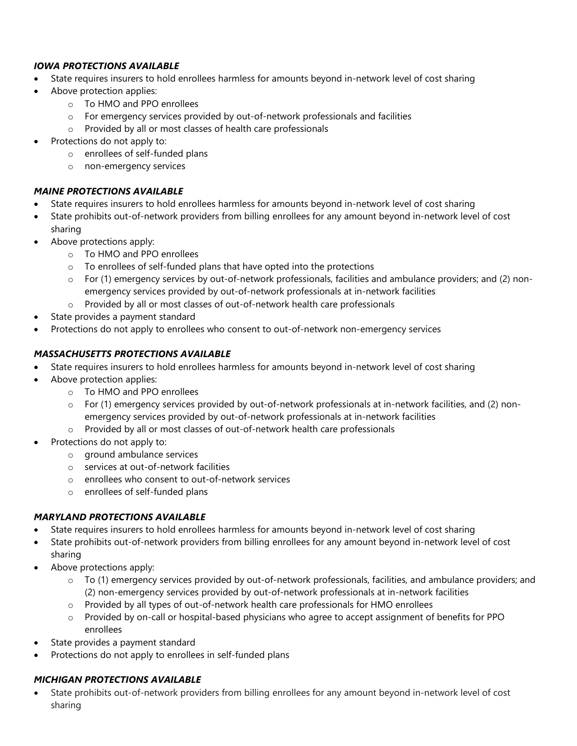#### *IOWA PROTECTIONS AVAILABLE*

- State requires insurers to hold enrollees harmless for amounts beyond in-network level of cost sharing
- Above protection applies:
	- o To HMO and PPO enrollees
	- $\circ$  For emergency services provided by out-of-network professionals and facilities
	- o Provided by all or most classes of health care professionals
- Protections do not apply to:
	- o enrollees of self-funded plans
	- o non-emergency services

#### *MAINE PROTECTIONS AVAILABLE*

- State requires insurers to hold enrollees harmless for amounts beyond in-network level of cost sharing
- State prohibits out-of-network providers from billing enrollees for any amount beyond in-network level of cost sharing
- Above protections apply:
	- o To HMO and PPO enrollees
	- o To enrollees of self-funded plans that have opted into the protections
	- o For (1) emergency services by out-of-network professionals, facilities and ambulance providers; and (2) nonemergency services provided by out-of-network professionals at in-network facilities
	- o Provided by all or most classes of out-of-network health care professionals
- State provides a payment standard
- Protections do not apply to enrollees who consent to out-of-network non-emergency services

## *MASSACHUSETTS PROTECTIONS AVAILABLE*

- State requires insurers to hold enrollees harmless for amounts beyond in-network level of cost sharing
- Above protection applies:
	- o To HMO and PPO enrollees
	- o For (1) emergency services provided by out-of-network professionals at in-network facilities, and (2) nonemergency services provided by out-of-network professionals at in-network facilities
	- o Provided by all or most classes of out-of-network health care professionals
- Protections do not apply to:
	- o ground ambulance services
	- o services at out-of-network facilities
	- o enrollees who consent to out-of-network services
	- o enrollees of self-funded plans

#### *MARYLAND PROTECTIONS AVAILABLE*

- State requires insurers to hold enrollees harmless for amounts beyond in-network level of cost sharing
- State prohibits out-of-network providers from billing enrollees for any amount beyond in-network level of cost sharing
- Above protections apply:
	- o To (1) emergency services provided by out-of-network professionals, facilities, and ambulance providers; and (2) non-emergency services provided by out-of-network professionals at in-network facilities
	- o Provided by all types of out-of-network health care professionals for HMO enrollees
	- o Provided by on-call or hospital-based physicians who agree to accept assignment of benefits for PPO enrollees
- State provides a payment standard
- Protections do not apply to enrollees in self-funded plans

# *MICHIGAN PROTECTIONS AVAILABLE*

• State prohibits out-of-network providers from billing enrollees for any amount beyond in-network level of cost sharing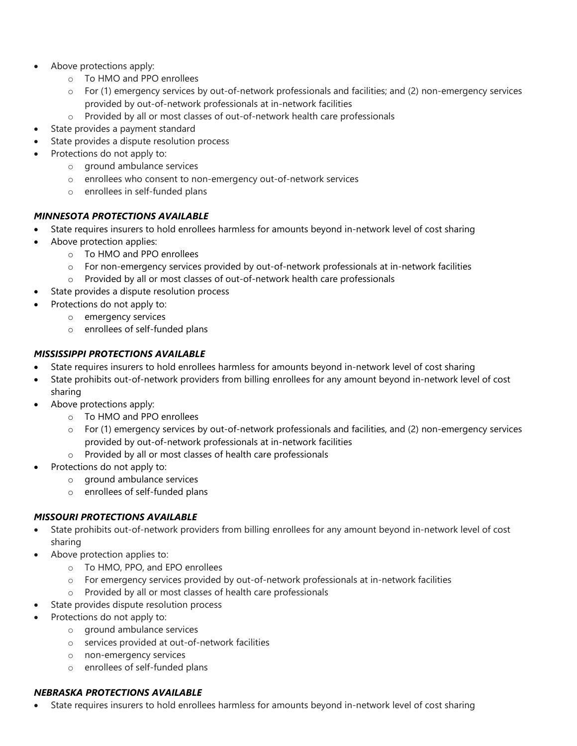- Above protections apply:
	- o To HMO and PPO enrollees
	- $\circ$  For (1) emergency services by out-of-network professionals and facilities; and (2) non-emergency services provided by out-of-network professionals at in-network facilities
	- o Provided by all or most classes of out-of-network health care professionals
- State provides a payment standard
- State provides a dispute resolution process
- Protections do not apply to:
	- o ground ambulance services
	- o enrollees who consent to non-emergency out-of-network services
	- o enrollees in self-funded plans

#### *MINNESOTA PROTECTIONS AVAILABLE*

- State requires insurers to hold enrollees harmless for amounts beyond in-network level of cost sharing
- Above protection applies:
	- o To HMO and PPO enrollees
	- o For non-emergency services provided by out-of-network professionals at in-network facilities
	- o Provided by all or most classes of out-of-network health care professionals
- State provides a dispute resolution process
- Protections do not apply to:
	- o emergency services
	- o enrollees of self-funded plans

## *MISSISSIPPI PROTECTIONS AVAILABLE*

- State requires insurers to hold enrollees harmless for amounts beyond in-network level of cost sharing
- State prohibits out-of-network providers from billing enrollees for any amount beyond in-network level of cost sharing
- Above protections apply:
	- o To HMO and PPO enrollees
	- $\circ$  For (1) emergency services by out-of-network professionals and facilities, and (2) non-emergency services provided by out-of-network professionals at in-network facilities
	- o Provided by all or most classes of health care professionals
- Protections do not apply to:
	- o ground ambulance services
	- o enrollees of self-funded plans

#### *MISSOURI PROTECTIONS AVAILABLE*

- State prohibits out-of-network providers from billing enrollees for any amount beyond in-network level of cost sharing
- Above protection applies to:
	- o To HMO, PPO, and EPO enrollees
	- o For emergency services provided by out-of-network professionals at in-network facilities
	- o Provided by all or most classes of health care professionals
- State provides dispute resolution process
- Protections do not apply to:
	- o ground ambulance services
	- o services provided at out-of-network facilities
	- o non-emergency services
	- o enrollees of self-funded plans

#### *NEBRASKA PROTECTIONS AVAILABLE*

• State requires insurers to hold enrollees harmless for amounts beyond in-network level of cost sharing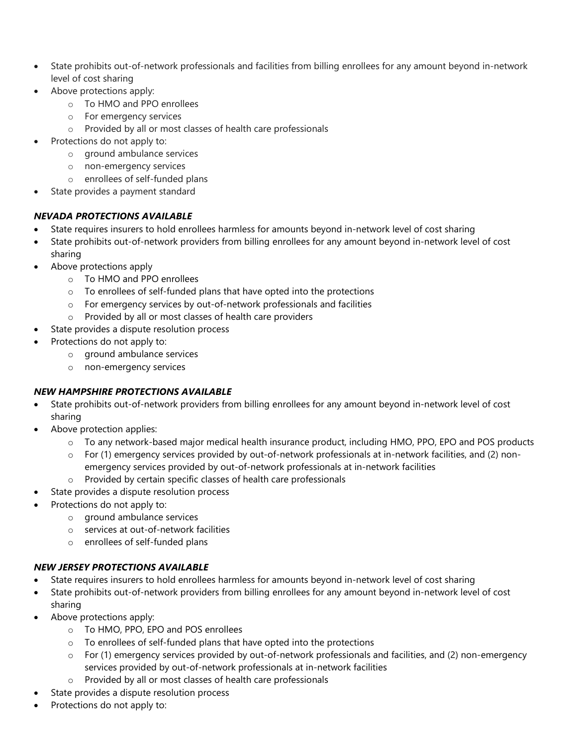- State prohibits out-of-network professionals and facilities from billing enrollees for any amount beyond in-network level of cost sharing
- Above protections apply:
	- o To HMO and PPO enrollees
	- o For emergency services
	- o Provided by all or most classes of health care professionals
- Protections do not apply to:
	- o ground ambulance services
	- o non-emergency services
	- o enrollees of self-funded plans
- State provides a payment standard

## *NEVADA PROTECTIONS AVAILABLE*

- State requires insurers to hold enrollees harmless for amounts beyond in-network level of cost sharing
- State prohibits out-of-network providers from billing enrollees for any amount beyond in-network level of cost sharing
- Above protections apply
	- o To HMO and PPO enrollees
	- o To enrollees of self-funded plans that have opted into the protections
	- o For emergency services by out-of-network professionals and facilities
	- o Provided by all or most classes of health care providers
- State provides a dispute resolution process
- Protections do not apply to:
	- o ground ambulance services
	- o non-emergency services

# *NEW HAMPSHIRE PROTECTIONS AVAILABLE*

- State prohibits out-of-network providers from billing enrollees for any amount beyond in-network level of cost sharing
- Above protection applies:
	- o To any network-based major medical health insurance product, including HMO, PPO, EPO and POS products
	- For (1) emergency services provided by out-of-network professionals at in-network facilities, and (2) non
		- emergency services provided by out-of-network professionals at in-network facilities
	- o Provided by certain specific classes of health care professionals
- State provides a dispute resolution process
- Protections do not apply to:
	- o ground ambulance services
	- o services at out-of-network facilities
	- o enrollees of self-funded plans

#### *NEW JERSEY PROTECTIONS AVAILABLE*

- State requires insurers to hold enrollees harmless for amounts beyond in-network level of cost sharing
- State prohibits out-of-network providers from billing enrollees for any amount beyond in-network level of cost sharing
- Above protections apply:
	- o To HMO, PPO, EPO and POS enrollees
	- o To enrollees of self-funded plans that have opted into the protections
	- o For (1) emergency services provided by out-of-network professionals and facilities, and (2) non-emergency services provided by out-of-network professionals at in-network facilities
	- o Provided by all or most classes of health care professionals
- State provides a dispute resolution process
- Protections do not apply to: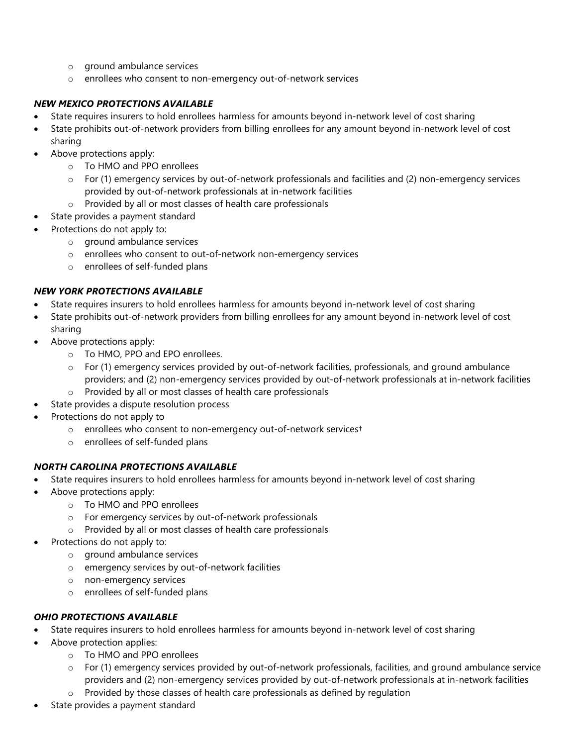- o ground ambulance services
- o enrollees who consent to non-emergency out-of-network services

#### *NEW MEXICO PROTECTIONS AVAILABLE*

- State requires insurers to hold enrollees harmless for amounts beyond in-network level of cost sharing
- State prohibits out-of-network providers from billing enrollees for any amount beyond in-network level of cost sharing
- Above protections apply:
	- o To HMO and PPO enrollees
	- o For (1) emergency services by out-of-network professionals and facilities and (2) non-emergency services provided by out-of-network professionals at in-network facilities
	- o Provided by all or most classes of health care professionals
	- State provides a payment standard
- Protections do not apply to:
	- o ground ambulance services
	- o enrollees who consent to out-of-network non-emergency services
	- o enrollees of self-funded plans

#### *NEW YORK PROTECTIONS AVAILABLE*

- State requires insurers to hold enrollees harmless for amounts beyond in-network level of cost sharing
- State prohibits out-of-network providers from billing enrollees for any amount beyond in-network level of cost sharing
- Above protections apply:
	- o To HMO, PPO and EPO enrollees.
	- o For (1) emergency services provided by out-of-network facilities, professionals, and ground ambulance providers; and (2) non-emergency services provided by out-of-network professionals at in-network facilities
	- o Provided by all or most classes of health care professionals
- State provides a dispute resolution process
- Protections do not apply to
	- o enrollees who consent to non-emergency out-of-network services†
	- o enrollees of self-funded plans

#### *NORTH CAROLINA PROTECTIONS AVAILABLE*

- State requires insurers to hold enrollees harmless for amounts beyond in-network level of cost sharing
- Above protections apply:
	- o To HMO and PPO enrollees
	- o For emergency services by out-of-network professionals
	- o Provided by all or most classes of health care professionals
- Protections do not apply to:
	- o ground ambulance services
	- o emergency services by out-of-network facilities
	- o non-emergency services
	- o enrollees of self-funded plans

# *OHIO PROTECTIONS AVAILABLE*

- State requires insurers to hold enrollees harmless for amounts beyond in-network level of cost sharing
- Above protection applies:
	- o To HMO and PPO enrollees
	- o For (1) emergency services provided by out-of-network professionals, facilities, and ground ambulance service providers and (2) non-emergency services provided by out-of-network professionals at in-network facilities
	- o Provided by those classes of health care professionals as defined by regulation
- State provides a payment standard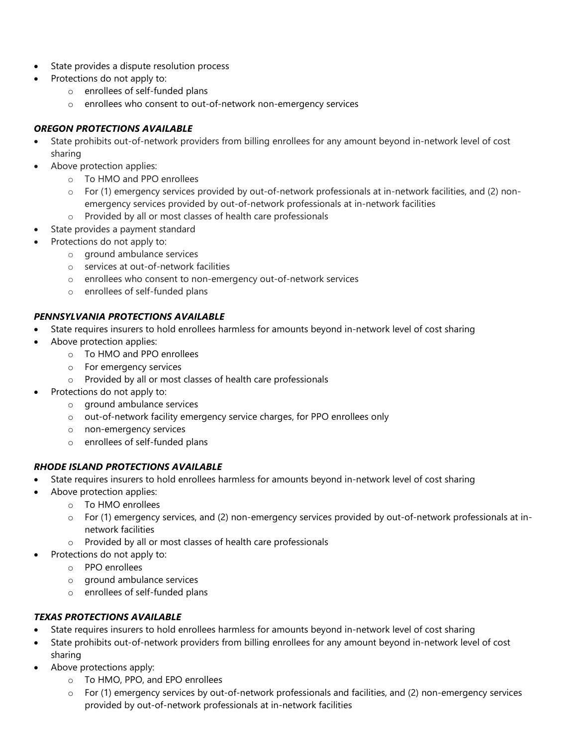- State provides a dispute resolution process
- Protections do not apply to:
	- o enrollees of self-funded plans
	- o enrollees who consent to out-of-network non-emergency services

#### *OREGON PROTECTIONS AVAILABLE*

- State prohibits out-of-network providers from billing enrollees for any amount beyond in-network level of cost sharing
- Above protection applies:
	- o To HMO and PPO enrollees
	- o For (1) emergency services provided by out-of-network professionals at in-network facilities, and (2) nonemergency services provided by out-of-network professionals at in-network facilities
	- o Provided by all or most classes of health care professionals
	- State provides a payment standard
- Protections do not apply to:
	- o ground ambulance services
	- o services at out-of-network facilities
	- o enrollees who consent to non-emergency out-of-network services
	- o enrollees of self-funded plans

#### *PENNSYLVANIA PROTECTIONS AVAILABLE*

- State requires insurers to hold enrollees harmless for amounts beyond in-network level of cost sharing
- Above protection applies:
	- o To HMO and PPO enrollees
	- o For emergency services
	- o Provided by all or most classes of health care professionals
- Protections do not apply to:
	- o ground ambulance services
	- o out-of-network facility emergency service charges, for PPO enrollees only
	- o non-emergency services
	- o enrollees of self-funded plans

#### *RHODE ISLAND PROTECTIONS AVAILABLE*

- State requires insurers to hold enrollees harmless for amounts beyond in-network level of cost sharing
- Above protection applies:
	- o To HMO enrollees
	- o For (1) emergency services, and (2) non-emergency services provided by out-of-network professionals at innetwork facilities
	- o Provided by all or most classes of health care professionals
- Protections do not apply to:
	- o PPO enrollees
	- o ground ambulance services
	- o enrollees of self-funded plans

#### *TEXAS PROTECTIONS AVAILABLE*

- State requires insurers to hold enrollees harmless for amounts beyond in-network level of cost sharing
- State prohibits out-of-network providers from billing enrollees for any amount beyond in-network level of cost sharing
- Above protections apply:
	- o To HMO, PPO, and EPO enrollees
	- o For (1) emergency services by out-of-network professionals and facilities, and (2) non-emergency services provided by out-of-network professionals at in-network facilities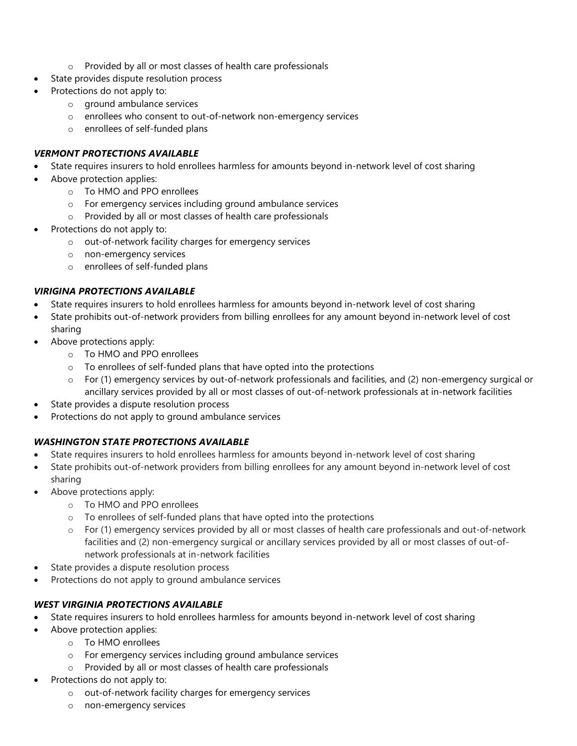- o Provided by all or most classes of health care professionals
- State provides dispute resolution process
- Protections do not apply to:
	- o ground ambulance services
	- o enrollees who consent to out-of-network non-emergency services
	- o enrollees of self-funded plans

#### *VERMONT PROTECTIONS AVAILABLE*

- State requires insurers to hold enrollees harmless for amounts beyond in-network level of cost sharing
- Above protection applies:
	- o To HMO and PPO enrollees
	- o For emergency services including ground ambulance services
	- o Provided by all or most classes of health care professionals
- Protections do not apply to:
	- o out-of-network facility charges for emergency services
	- o non-emergency services
	- o enrollees of self-funded plans

#### *VIRIGINA PROTECTIONS AVAILABLE*

- State requires insurers to hold enrollees harmless for amounts beyond in-network level of cost sharing
- State prohibits out-of-network providers from billing enrollees for any amount beyond in-network level of cost sharing
- Above protections apply:
	- o To HMO and PPO enrollees
	- o To enrollees of self-funded plans that have opted into the protections
	- o For (1) emergency services by out-of-network professionals and facilities, and (2) non-emergency surgical or ancillary services provided by all or most classes of out-of-network professionals at in-network facilities
- State provides a dispute resolution process
- Protections do not apply to ground ambulance services

#### *WASHINGTON STATE PROTECTIONS AVAILABLE*

- State requires insurers to hold enrollees harmless for amounts beyond in-network level of cost sharing
- State prohibits out-of-network providers from billing enrollees for any amount beyond in-network level of cost sharing
- Above protections apply:
	- o To HMO and PPO enrollees
	- o To enrollees of self-funded plans that have opted into the protections
	- o For (1) emergency services provided by all or most classes of health care professionals and out-of-network facilities and (2) non-emergency surgical or ancillary services provided by all or most classes of out-ofnetwork professionals at in-network facilities
- State provides a dispute resolution process
- Protections do not apply to ground ambulance services

#### *WEST VIRGINIA PROTECTIONS AVAILABLE*

- State requires insurers to hold enrollees harmless for amounts beyond in-network level of cost sharing
- Above protection applies:
	- o To HMO enrollees
		- o For emergency services including ground ambulance services
		- o Provided by all or most classes of health care professionals
- Protections do not apply to:
	- o out-of-network facility charges for emergency services
	- o non-emergency services